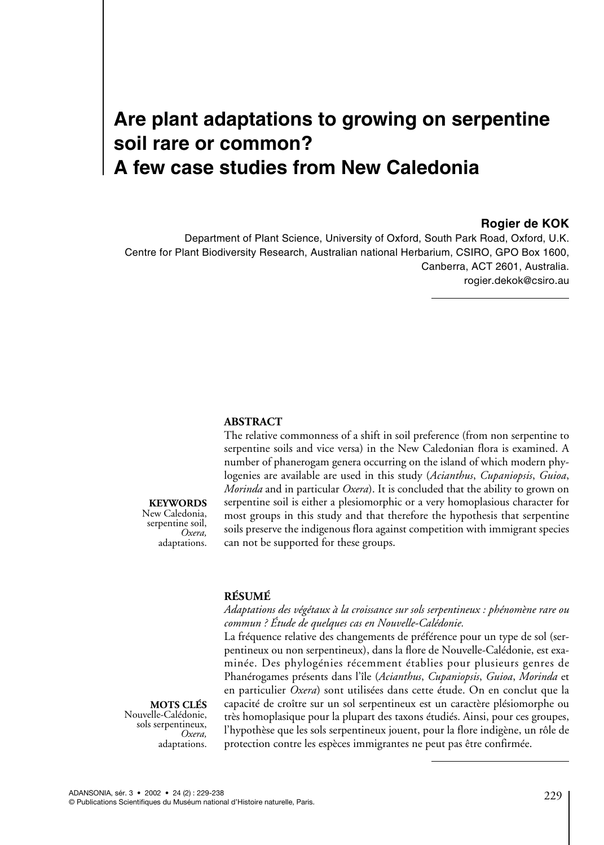# **Are plant adaptations to growing on serpentine soil rare or common? A few case studies from New Caledonia**

### **Rogier de KOK**

Department of Plant Science, University of Oxford, South Park Road, Oxford, U.K. Centre for Plant Biodiversity Research, Australian national Herbarium, CSIRO, GPO Box 1600, Canberra, ACT 2601, Australia. rogier.dekok@csiro.au

#### **ABSTRACT**

The relative commonness of a shift in soil preference (from non serpentine to serpentine soils and vice versa) in the New Caledonian flora is examined. A number of phanerogam genera occurring on the island of which modern phylogenies are available are used in this study (*Acianthus*, *Cupaniopsis*, *Guioa*, *Morinda* and in particular *Oxera*). It is concluded that the ability to grown on serpentine soil is either a plesiomorphic or a very homoplasious character for most groups in this study and that therefore the hypothesis that serpentine soils preserve the indigenous flora against competition with immigrant species can not be supported for these groups.

# **RÉSUMÉ**

*Adaptations des végétaux à la croissance sur sols serpentineux : phénomène rare ou commun ? Étude de quelques cas en Nouvelle-Calédonie.*

La fréquence relative des changements de préférence pour un type de sol (serpentineux ou non serpentineux), dans la flore de Nouvelle-Calédonie, est examinée. Des phylogénies récemment établies pour plusieurs genres de Phanérogames présents dans l'île (*Acianthus*, *Cupaniopsis*, *Guioa*, *Morinda* et en particulier *Oxera*) sont utilisées dans cette étude. On en conclut que la capacité de croître sur un sol serpentineux est un caractère plésiomorphe ou très homoplasique pour la plupart des taxons étudiés. Ainsi, pour ces groupes, l'hypothèse que les sols serpentineux jouent, pour la flore indigène, un rôle de protection contre les espèces immigrantes ne peut pas être confirmée.

**MOTS CLÉS** Nouvelle-Calédonie, sols serpentineux, *Oxera,* adaptations.

**KEYWORDS** New Caledonia, serpentine soil, *Oxera,* adaptations.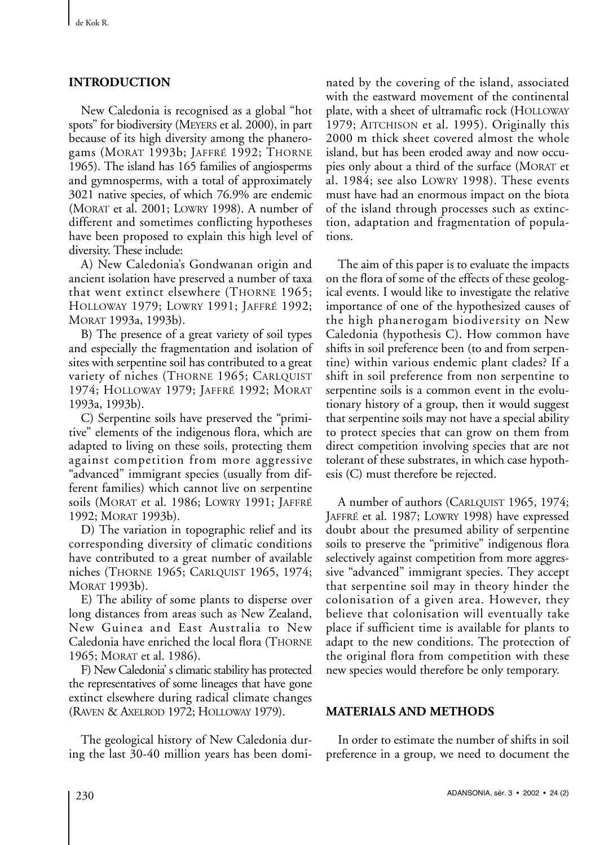## **INTRODUCTION**

New Caledonia is recognised as a global "hot spots" for biodiversity (MEYERS et al. 2000), in part because of its high diversity among the phanerogams (MORAT 1993b; JAFFRÉ 1992; THORNE 1965). The island has 165 families of angiosperms and gymnosperms, with a total of approximately 3021 native species, of which 76.9% are endemic (MORAT et al. 2001; LOWRY 1998). A number of different and sometimes conflicting hypotheses have been proposed to explain this high level of diversity. These include:

A) New Caledonia's Gondwanan origin and ancient isolation have preserved a number of taxa that went extinct elsewhere (THORNE 1965; HOLLOWAY 1979; LOWRY 1991; JAFFRÉ 1992; MORAT 1993a, 1993b).

B) The presence of a great variety of soil types and especially the fragmentation and isolation of sites with serpentine soil has contributed to a great variety of niches (THORNE 1965; CARLQUIST 1974; HOLLOWAY 1979; JAFFRÉ 1992; MORAT 1993a, 1993b).

C) Serpentine soils have preserved the "primitive" elements of the indigenous flora, which are adapted to living on these soils, protecting them against competition from more aggressive "advanced" immigrant species (usually from different families) which cannot live on serpentine soils (MORAT et al. 1986; LOWRY 1991; JAFFRÉ 1992; MORAT 1993b).

D) The variation in topographic relief and its corresponding diversity of climatic conditions have contributed to a great number of available niches (THORNE 1965; CARLQUIST 1965, 1974; MORAT 1993b).

E) The ability of some plants to disperse over long distances from areas such as New Zealand, New Guinea and East Australia to New Caledonia have enriched the local flora (THORNE 1965; MORAT et al. 1986).

F) New Caledonia' s climatic stability has protected the representatives of some lineages that have gone extinct elsewhere during radical climate changes (RAVEN & AXELROD 1972; HOLLOWAY 1979).

The geological history of New Caledonia during the last 30-40 million years has been dominated by the covering of the island, associated with the eastward movement of the continental plate, with a sheet of ultramafic rock (HOLLOWAY 1979; AITCHISON et al. 1995). Originally this 2000 m thick sheet covered almost the whole island, but has been eroded away and now occupies only about a third of the surface (MORAT et al. 1984; see also LOWRY 1998). These events must have had an enormous impact on the biota of the island through processes such as extinction, adaptation and fragmentation of populations.

The aim of this paper is to evaluate the impacts on the flora of some of the effects of these geological events. I would like to investigate the relative importance of one of the hypothesized causes of the high phanerogam biodiversity on New Caledonia (hypothesis C). How common have shifts in soil preference been (to and from serpentine) within various endemic plant clades? If a shift in soil preference from non serpentine to serpentine soils is a common event in the evolutionary history of a group, then it would suggest that serpentine soils may not have a special ability to protect species that can grow on them from direct competition involving species that are not tolerant of these substrates, in which case hypothesis (C) must therefore be rejected.

A number of authors (CARLQUIST 1965, 1974; JAFFRÉ et al. 1987; LOWRY 1998) have expressed doubt about the presumed ability of serpentine soils to preserve the "primitive" indigenous flora selectively against competition from more aggressive "advanced" immigrant species. They accept that serpentine soil may in theory hinder the colonisation of a given area. However, they believe that colonisation will eventually take place if sufficient time is available for plants to adapt to the new conditions. The protection of the original flora from competition with these new species would therefore be only temporary.

## **MATERIALS AND METHODS**

In order to estimate the number of shifts in soil preference in a group, we need to document the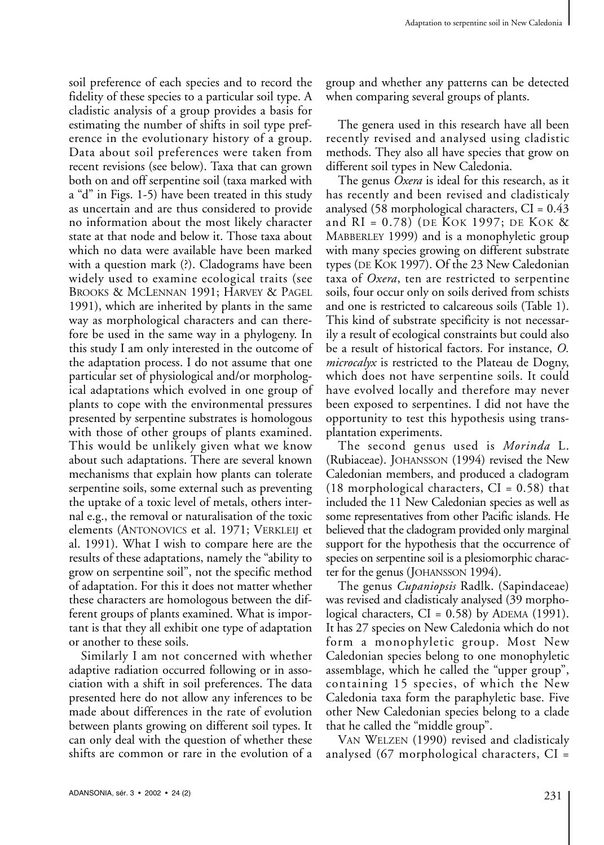soil preference of each species and to record the fidelity of these species to a particular soil type. A cladistic analysis of a group provides a basis for estimating the number of shifts in soil type preference in the evolutionary history of a group. Data about soil preferences were taken from recent revisions (see below). Taxa that can grown both on and off serpentine soil (taxa marked with a "d" in Figs. 1-5) have been treated in this study as uncertain and are thus considered to provide no information about the most likely character state at that node and below it. Those taxa about which no data were available have been marked with a question mark (?). Cladograms have been widely used to examine ecological traits (see BROOKS & MCLENNAN 1991; HARVEY & PAGEL 1991), which are inherited by plants in the same way as morphological characters and can therefore be used in the same way in a phylogeny. In this study I am only interested in the outcome of the adaptation process. I do not assume that one particular set of physiological and/or morphological adaptations which evolved in one group of plants to cope with the environmental pressures presented by serpentine substrates is homologous with those of other groups of plants examined. This would be unlikely given what we know about such adaptations. There are several known mechanisms that explain how plants can tolerate serpentine soils, some external such as preventing the uptake of a toxic level of metals, others internal e.g., the removal or naturalisation of the toxic elements (ANTONOVICS et al. 1971; VERKLEIJ et al. 1991). What I wish to compare here are the results of these adaptations, namely the "ability to grow on serpentine soil", not the specific method of adaptation. For this it does not matter whether these characters are homologous between the different groups of plants examined. What is important is that they all exhibit one type of adaptation or another to these soils.

Similarly I am not concerned with whether adaptive radiation occurred following or in association with a shift in soil preferences. The data presented here do not allow any inferences to be made about differences in the rate of evolution between plants growing on different soil types. It can only deal with the question of whether these shifts are common or rare in the evolution of a

group and whether any patterns can be detected when comparing several groups of plants.

The genera used in this research have all been recently revised and analysed using cladistic methods. They also all have species that grow on different soil types in New Caledonia.

The genus *Oxera* is ideal for this research, as it has recently and been revised and cladisticaly analysed (58 morphological characters,  $CI = 0.43$ and RI = 0.78) (DE KOK 1997; DE KOK & MABBERLEY 1999) and is a monophyletic group with many species growing on different substrate types (DE KOK 1997). Of the 23 New Caledonian taxa of *Oxera*, ten are restricted to serpentine soils, four occur only on soils derived from schists and one is restricted to calcareous soils (Table 1). This kind of substrate specificity is not necessarily a result of ecological constraints but could also be a result of historical factors. For instance, *O. microcalyx* is restricted to the Plateau de Dogny, which does not have serpentine soils. It could have evolved locally and therefore may never been exposed to serpentines. I did not have the opportunity to test this hypothesis using transplantation experiments.

The second genus used is *Morinda* L. (Rubiaceae). JOHANSSON (1994) revised the New Caledonian members, and produced a cladogram  $(18 \text{ morphological characters}, \text{CI} = 0.58)$  that included the 11 New Caledonian species as well as some representatives from other Pacific islands. He believed that the cladogram provided only marginal support for the hypothesis that the occurrence of species on serpentine soil is a plesiomorphic character for the genus (JOHANSSON 1994).

The genus *Cupaniopsis* Radlk. (Sapindaceae) was revised and cladisticaly analysed (39 morphological characters,  $CI = 0.58$ ) by ADEMA (1991). It has 27 species on New Caledonia which do not form a monophyletic group. Most New Caledonian species belong to one monophyletic assemblage, which he called the "upper group", containing 15 species, of which the New Caledonia taxa form the paraphyletic base. Five other New Caledonian species belong to a clade that he called the "middle group".

VAN WELZEN (1990) revised and cladisticaly analysed (67 morphological characters, CI =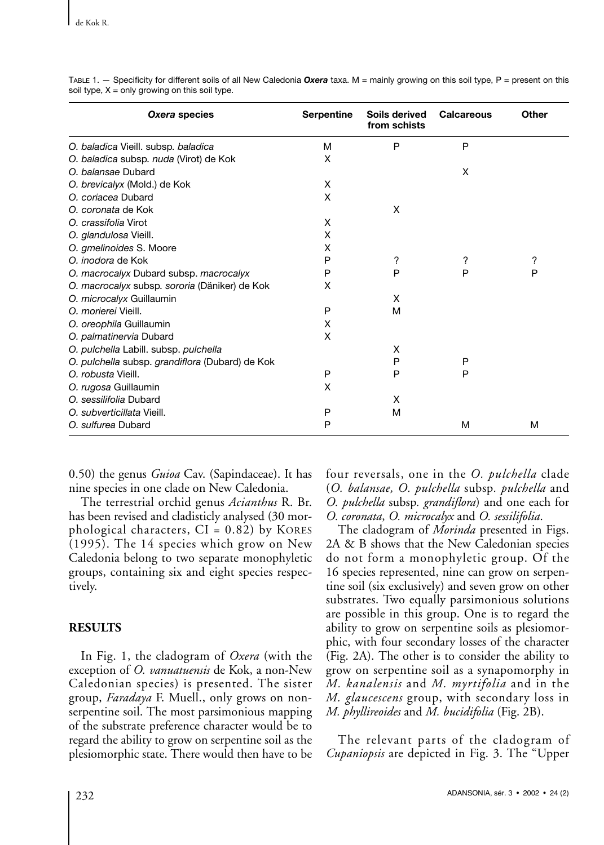| Oxera species                                   | <b>Serpentine</b> | Soils derived<br>from schists | <b>Calcareous</b> | Other |
|-------------------------------------------------|-------------------|-------------------------------|-------------------|-------|
| O. baladica Vieill. subsp. baladica             | M                 | P                             | P                 |       |
| O. baladica subsp. nuda (Virot) de Kok          | X                 |                               |                   |       |
| O. balansae Dubard                              |                   |                               | X                 |       |
| O. brevicalyx (Mold.) de Kok                    | X                 |                               |                   |       |
| O. coriacea Dubard                              | X                 |                               |                   |       |
| O. coronata de Kok                              |                   | X                             |                   |       |
| O. crassifolia Virot                            | X                 |                               |                   |       |
| O. glandulosa Vieill.                           | X                 |                               |                   |       |
| O. gmelinoides S. Moore                         | X                 |                               |                   |       |
| O, inodora de Kok                               | P                 | ?                             | ?                 | ?     |
| O. macrocalyx Dubard subsp. macrocalyx          | P                 | P                             | P                 | P     |
| O. macrocalyx subsp. sororia (Däniker) de Kok   | X                 |                               |                   |       |
| O. microcalyx Guillaumin                        |                   | X                             |                   |       |
| O. morierei Vieill.                             | P                 | M                             |                   |       |
| O. oreophila Guillaumin                         | X                 |                               |                   |       |
| O. palmatinervia Dubard                         | X                 |                               |                   |       |
| O. pulchella Labill. subsp. pulchella           |                   | X                             |                   |       |
| O. pulchella subsp. grandiflora (Dubard) de Kok |                   | P                             | P                 |       |
| O. robusta Vieill.                              | P                 | P                             | P                 |       |
| O. rugosa Guillaumin                            | X                 |                               |                   |       |
| O. sessilifolia Dubard                          |                   | X                             |                   |       |
| O. subverticillata Vieill.                      | P                 | M                             |                   |       |
| O. sulfurea Dubard                              | P                 |                               | M                 | M     |

TABLE 1. — Specificity for different soils of all New Caledonia *Oxera* taxa. M = mainly growing on this soil type, P = present on this soil type,  $X =$  only growing on this soil type.

0.50) the genus *Guioa* Cav. (Sapindaceae). It has nine species in one clade on New Caledonia.

The terrestrial orchid genus *Acianthus* R. Br. has been revised and cladisticly analysed (30 morphological characters,  $CI = 0.82$ ) by KORES (1995). The 14 species which grow on New Caledonia belong to two separate monophyletic groups, containing six and eight species respectively.

## **RESULTS**

In Fig. 1, the cladogram of *Oxera* (with the exception of *O. vanuatuensis* de Kok, a non-New Caledonian species) is presented. The sister group, *Faradaya* F. Muell., only grows on nonserpentine soil. The most parsimonious mapping of the substrate preference character would be to regard the ability to grow on serpentine soil as the plesiomorphic state. There would then have to be four reversals, one in the *O. pulchella* clade (*O. balansae, O. pulchella* subsp*. pulchella* and *O. pulchella* subsp*. grandiflora*) and one each for *O. coronata*, *O. microcalyx* and *O. sessilifolia*.

The cladogram of *Morinda* presented in Figs. 2A & B shows that the New Caledonian species do not form a monophyletic group. Of the 16 species represented, nine can grow on serpentine soil (six exclusively) and seven grow on other substrates. Two equally parsimonious solutions are possible in this group. One is to regard the ability to grow on serpentine soils as plesiomorphic, with four secondary losses of the character (Fig. 2A). The other is to consider the ability to grow on serpentine soil as a synapomorphy in *M. kanalensis* and *M. myrtifolia* and in the *M. glaucescens* group, with secondary loss in *M. phyllireoides* and *M. bucidifolia* (Fig. 2B).

The relevant parts of the cladogram of *Cupaniopsis* are depicted in Fig. 3. The "Upper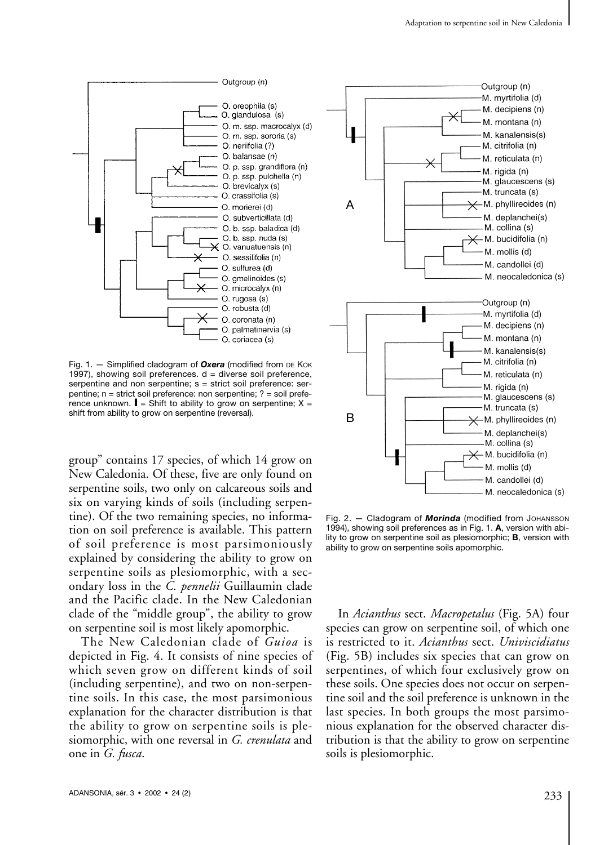

Fig. 1. - Simplified cladogram of Oxera (modified from DE KOK 1997), showing soil preferences.  $d =$  diverse soil preference, serpentine and non serpentine; s = strict soil preference: serpentine; n = strict soil preference: non serpentine; ? = soil preference unknown.  $\blacksquare$  = Shift to ability to grow on serpentine; X = shift from ability to grow on serpentine (reversal).

group" contains 17 species, of which 14 grow on New Caledonia. Of these, five are only found on serpentine soils, two only on calcareous soils and six on varying kinds of soils (including serpentine). Of the two remaining species, no information on soil preference is available. This pattern of soil preference is most parsimoniously explained by considering the ability to grow on serpentine soils as plesiomorphic, with a secondary loss in the *C. pennelii* Guillaumin clade and the Pacific clade. In the New Caledonian clade of the "middle group", the ability to grow on serpentine soil is most likely apomorphic.

The New Caledonian clade of *Guioa* is depicted in Fig. 4. It consists of nine species of which seven grow on different kinds of soil (including serpentine), and two on non-serpentine soils. In this case, the most parsimonious explanation for the character distribution is that the ability to grow on serpentine soils is plesiomorphic, with one reversal in *G. crenulata* and one in *G. fusca*.



Fig. 2. — Cladogram of *Morinda* (modified from JOHANSSON 1994), showing soil preferences as in Fig. 1. **A**, version with ability to grow on serpentine soil as plesiomorphic; **B**, version with ability to grow on serpentine soils apomorphic.

In *Acianthus* sect. *Macropetalus* (Fig. 5A) four species can grow on serpentine soil, of which one is restricted to it. *Acianthus* sect. *Univiscidiatus* (Fig. 5B) includes six species that can grow on serpentines, of which four exclusively grow on these soils. One species does not occur on serpentine soil and the soil preference is unknown in the last species. In both groups the most parsimonious explanation for the observed character distribution is that the ability to grow on serpentine soils is plesiomorphic.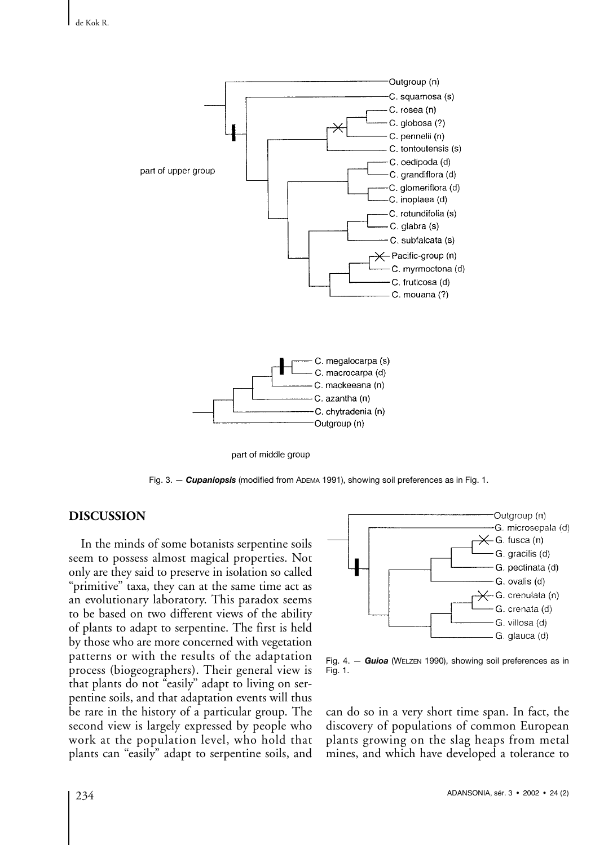

part of middle group

Fig. 3. - **Cupaniopsis** (modified from ADEMA 1991), showing soil preferences as in Fig. 1.

### **DISCUSSION**

In the minds of some botanists serpentine soils seem to possess almost magical properties. Not only are they said to preserve in isolation so called "primitive" taxa, they can at the same time act as an evolutionary laboratory. This paradox seems to be based on two different views of the ability of plants to adapt to serpentine. The first is held by those who are more concerned with vegetation patterns or with the results of the adaptation process (biogeographers). Their general view is that plants do not "easily" adapt to living on serpentine soils, and that adaptation events will thus be rare in the history of a particular group. The second view is largely expressed by people who work at the population level, who hold that plants can "easily" adapt to serpentine soils, and



Fig. 4. — *Guioa* (WELZEN 1990), showing soil preferences as in Fig. 1.

can do so in a very short time span. In fact, the discovery of populations of common European plants growing on the slag heaps from metal mines, and which have developed a tolerance to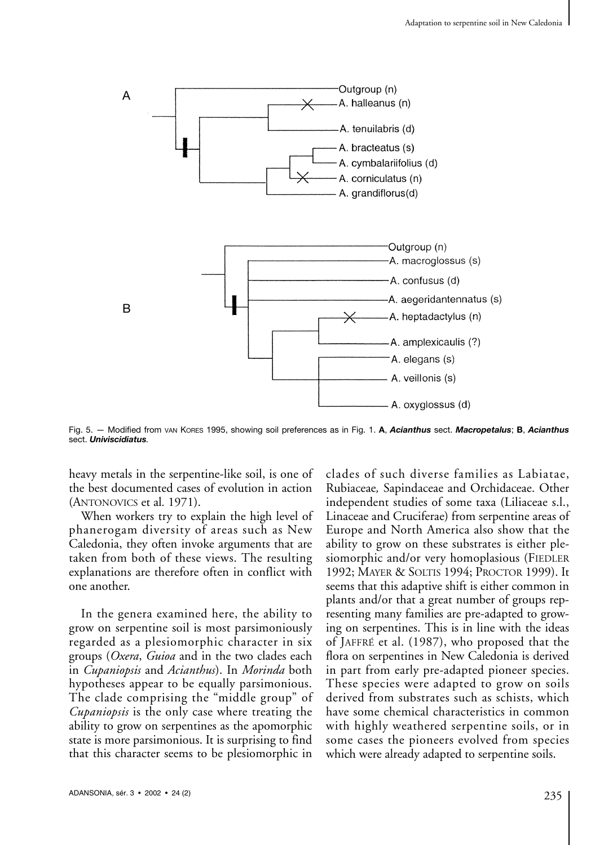

Fig. 5. — Modified from VAN KORES 1995, showing soil preferences as in Fig. 1. **A**, *Acianthus* sect. *Macropetalus*; **B**, *Acianthus* sect. *Univiscidiatus.*

heavy metals in the serpentine-like soil, is one of the best documented cases of evolution in action (ANTONOVICS et al*.* 1971).

When workers try to explain the high level of phanerogam diversity of areas such as New Caledonia, they often invoke arguments that are taken from both of these views. The resulting explanations are therefore often in conflict with one another.

In the genera examined here, the ability to grow on serpentine soil is most parsimoniously regarded as a plesiomorphic character in six groups (*Oxera*, *Guioa* and in the two clades each in *Cupaniopsis* and *Acianthus*). In *Morinda* both hypotheses appear to be equally parsimonious. The clade comprising the "middle group" of *Cupaniopsis* is the only case where treating the ability to grow on serpentines as the apomorphic state is more parsimonious. It is surprising to find that this character seems to be plesiomorphic in

clades of such diverse families as Labiatae, Rubiaceae*,* Sapindaceae and Orchidaceae. Other independent studies of some taxa (Liliaceae s.l., Linaceae and Cruciferae) from serpentine areas of Europe and North America also show that the ability to grow on these substrates is either plesiomorphic and/or very homoplasious (FIEDLER 1992; MAYER & SOLTIS 1994; PROCTOR 1999). It seems that this adaptive shift is either common in plants and/or that a great number of groups representing many families are pre-adapted to growing on serpentines. This is in line with the ideas of JAFFRÉ et al. (1987), who proposed that the flora on serpentines in New Caledonia is derived in part from early pre-adapted pioneer species. These species were adapted to grow on soils derived from substrates such as schists, which have some chemical characteristics in common with highly weathered serpentine soils, or in some cases the pioneers evolved from species which were already adapted to serpentine soils.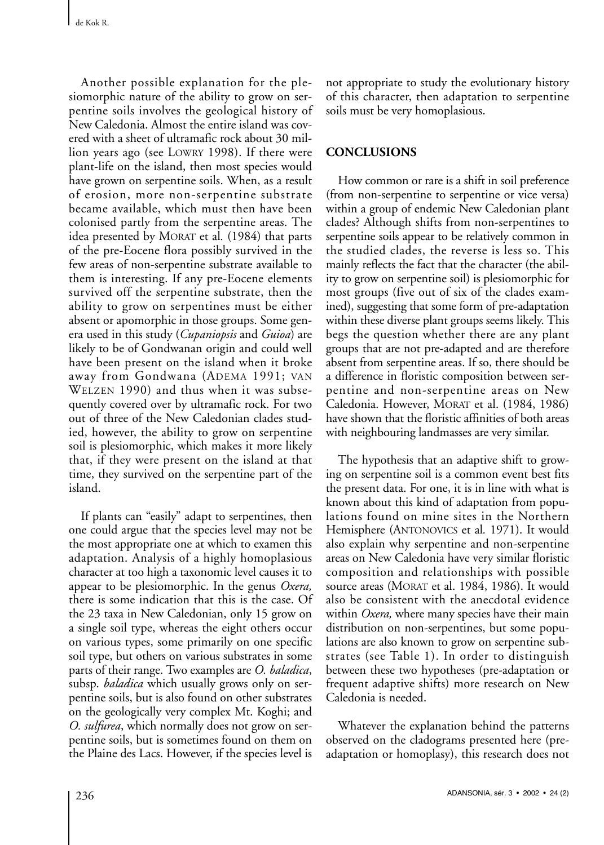Another possible explanation for the plesiomorphic nature of the ability to grow on serpentine soils involves the geological history of New Caledonia. Almost the entire island was covered with a sheet of ultramafic rock about 30 million years ago (see LOWRY 1998). If there were plant-life on the island, then most species would have grown on serpentine soils. When, as a result of erosion, more non-serpentine substrate became available, which must then have been colonised partly from the serpentine areas. The idea presented by MORAT et al*.* (1984) that parts of the pre-Eocene flora possibly survived in the few areas of non-serpentine substrate available to them is interesting. If any pre-Eocene elements survived off the serpentine substrate, then the ability to grow on serpentines must be either absent or apomorphic in those groups. Some genera used in this study (*Cupaniopsis* and *Guioa*) are likely to be of Gondwanan origin and could well have been present on the island when it broke away from Gondwana (ADEMA 1991; VAN WELZEN 1990) and thus when it was subsequently covered over by ultramafic rock. For two out of three of the New Caledonian clades studied, however, the ability to grow on serpentine soil is plesiomorphic, which makes it more likely that, if they were present on the island at that time, they survived on the serpentine part of the island.

If plants can "easily" adapt to serpentines, then one could argue that the species level may not be the most appropriate one at which to examen this adaptation. Analysis of a highly homoplasious character at too high a taxonomic level causes it to appear to be plesiomorphic. In the genus *Oxera,* there is some indication that this is the case. Of the 23 taxa in New Caledonian, only 15 grow on a single soil type, whereas the eight others occur on various types, some primarily on one specific soil type, but others on various substrates in some parts of their range. Two examples are *O. baladica*, subsp. *baladica* which usually grows only on serpentine soils, but is also found on other substrates on the geologically very complex Mt. Koghi; and *O. sulfurea*, which normally does not grow on serpentine soils, but is sometimes found on them on the Plaine des Lacs. However, if the species level is

not appropriate to study the evolutionary history of this character, then adaptation to serpentine soils must be very homoplasious.

## **CONCLUSIONS**

How common or rare is a shift in soil preference (from non-serpentine to serpentine or vice versa) within a group of endemic New Caledonian plant clades? Although shifts from non-serpentines to serpentine soils appear to be relatively common in the studied clades, the reverse is less so. This mainly reflects the fact that the character (the ability to grow on serpentine soil) is plesiomorphic for most groups (five out of six of the clades examined), suggesting that some form of pre-adaptation within these diverse plant groups seems likely. This begs the question whether there are any plant groups that are not pre-adapted and are therefore absent from serpentine areas. If so, there should be a difference in floristic composition between serpentine and non-serpentine areas on New Caledonia. However, MORAT et al. (1984, 1986) have shown that the floristic affinities of both areas with neighbouring landmasses are very similar.

The hypothesis that an adaptive shift to growing on serpentine soil is a common event best fits the present data. For one, it is in line with what is known about this kind of adaptation from populations found on mine sites in the Northern Hemisphere (ANTONOVICS et al*.* 1971). It would also explain why serpentine and non-serpentine areas on New Caledonia have very similar floristic composition and relationships with possible source areas (MORAT et al. 1984, 1986). It would also be consistent with the anecdotal evidence within *Oxera,* where many species have their main distribution on non-serpentines, but some populations are also known to grow on serpentine substrates (see Table 1). In order to distinguish between these two hypotheses (pre-adaptation or frequent adaptive shifts) more research on New Caledonia is needed.

Whatever the explanation behind the patterns observed on the cladograms presented here (preadaptation or homoplasy), this research does not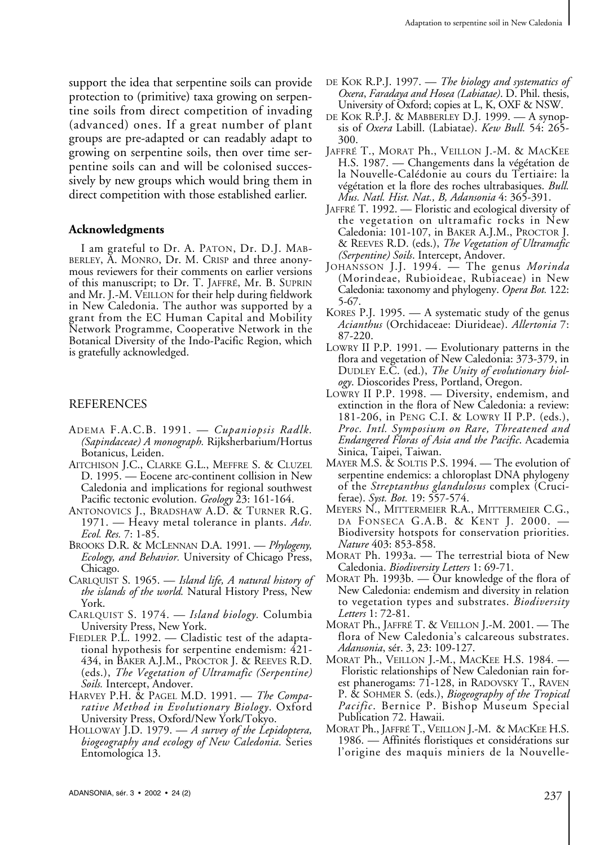support the idea that serpentine soils can provide protection to (primitive) taxa growing on serpentine soils from direct competition of invading (advanced) ones. If a great number of plant groups are pre-adapted or can readably adapt to growing on serpentine soils, then over time serpentine soils can and will be colonised successively by new groups which would bring them in direct competition with those established earlier.

#### **Acknowledgments**

I am grateful to Dr. A. PATON, Dr. D.J. MAB-BERLEY, A. MONRO, Dr. M. CRISP and three anonymous reviewers for their comments on earlier versions of this manuscript; to Dr. T. JAFFRÉ, Mr. B. SUPRIN and Mr. J.-M. VEILLON for their help during fieldwork in New Caledonia. The author was supported by a grant from the EC Human Capital and Mobility Network Programme, Cooperative Network in the Botanical Diversity of the Indo-Pacific Region, which is gratefully acknowledged.

#### REFERENCES

- ADEMA F.A.C.B. 1991. *Cupaniopsis Radlk. (Sapindaceae) A monograph.* Rijksherbarium/Hortus Botanicus, Leiden.
- AITCHISON J.C., CLARKE G.L., MEFFRE S. & CLUZEL D. 1995. — Eocene arc-continent collision in New Caledonia and implications for regional southwest Pacific tectonic evolution. *Geology* 23: 161-164.
- ANTONOVICS J., BRADSHAW A.D. & TURNER R.G. 1971. — Heavy metal tolerance in plants. *Adv. Ecol. Res.* 7: 1-85.
- BROOKS D.R. & MCLENNAN D.A. 1991. *Phylogeny, Ecology, and Behavior.* University of Chicago Press, Chicago.
- CARLQUIST S. 1965. *Island life, A natural history of the islands of the world.* Natural History Press, New York.
- CARLQUIST S. 1974. *Island biology.* Columbia University Press, New York.
- FIEDLER P.L. 1992. Cladistic test of the adaptational hypothesis for serpentine endemism: 421- 434, in BAKER A.J.M., PROCTOR J. & REEVES R.D. (eds.), *The Vegetation of Ultramafic (Serpentine) Soils.* Intercept, Andover.
- HARVEY P.H. & PAGEL M.D. 1991. *The Comparative Method in Evolutionary Biology*. Oxford University Press, Oxford/New York/Tokyo.
- HOLLOWAY J.D. 1979. *A survey of the Lepidoptera, biogeography and ecology of New Caledonia.* Series Entomologica 13.
- DE KOK R.P.J. 1997. *The biology and systematics of Oxera*, *Faradaya and Hosea (Labiatae)*. D. Phil. thesis, University of Oxford; copies at L, K, OXF & NSW.
- DE KOK R.P.J. & MABBERLEY D.J. 1999. A synopsis of *Oxera* Labill. (Labiatae). *Kew Bull.* 54: 265- 300.
- JAFFRÉ T., MORAT Ph., VEILLON J.-M. & MACKEE H.S. 1987. — Changements dans la végétation de la Nouvelle-Calédonie au cours du Tertiaire: la végétation et la flore des roches ultrabasiques. *Bull. Mus. Natl. Hist. Nat., B, Adansonia* 4: 365-391.
- JAFFRÉ T. 1992. Floristic and ecological diversity of the vegetation on ultramafic rocks in New Caledonia: 101-107, in BAKER A.J.M., PROCTOR J. & REEVES R.D. (eds.), *The Vegetation of Ultramafic (Serpentine) Soils*. Intercept, Andover.
- JOHANSSON J.J. 1994. The genus *Morinda* (Morindeae, Rubioideae, Rubiaceae) in New Caledonia: taxonomy and phylogeny. *Opera Bot.* 122: 5-67.
- KORES P.J. 1995. A systematic study of the genus *Acianthus* (Orchidaceae: Diurideae). *Allertonia* 7: 87-220.
- LOWRY II P.P. 1991. Evolutionary patterns in the flora and vegetation of New Caledonia: 373-379, in DUDLEY E.C. (ed.), *The Unity of evolutionary biology*. Dioscorides Press, Portland, Oregon.
- LOWRY II P.P. 1998. Diversity, endemism, and extinction in the flora of New Caledonia: a review: 181-206, in PENG C.I. & LOWRY II P.P. (eds.), *Proc. Intl. Symposium on Rare, Threatened and Endangered Floras of Asia and the Pacific*. Academia Sinica, Taipei, Taiwan.
- MAYER M.S. & SOLTIS P.S. 1994. The evolution of serpentine endemics: a chloroplast DNA phylogeny of the *Streptanthus glandulosus* complex (Cruciferae). *Syst. Bot.* 19: 557-574.
- MEYERS N., MITTERMEIER R.A., MITTERMEIER C.G., DA FONSECA G.A.B. & KENT J. 2000. — Biodiversity hotspots for conservation priorities. *Nature* 403: 853-858.
- MORAT Ph. 1993a. The terrestrial biota of New Caledonia. *Biodiversity Letters* 1: 69-71.
- MORAT Ph. 1993b. Our knowledge of the flora of New Caledonia: endemism and diversity in relation to vegetation types and substrates. *Biodiversity Letters* 1: 72-81.
- MORAT Ph., JAFFRÉ T. & VEILLON J.-M. 2001. The flora of New Caledonia's calcareous substrates. *Adansonia*, sér. 3, 23: 109-127.
- MORAT Ph., VEILLON J.-M., MACKEE H.S. 1984. Floristic relationships of New Caledonian rain forest phanerogams: 71-128, in RADOVSKY T., RAVEN P. & SOHMER S. (eds.), *Biogeography of the Tropical Pacific*. Bernice P. Bishop Museum Special Publication 72. Hawaii.
- MORAT Ph., JAFFRÉ T., VEILLON J.-M. & MACKEE H.S. 1986. — Affinités floristiques et considérations sur l'origine des maquis miniers de la Nouvelle-